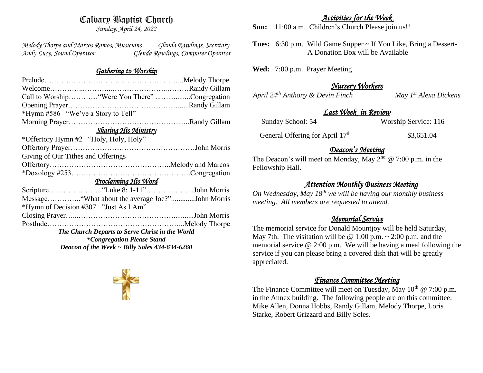# Calvary Baptist Church

*Sunday, April 24, 2022*

*Melody Thorpe and Marcos Ramos, Musicians Glenda Rawlings, Secretary Andy Lucy, Sound Operator Glenda Rawlings, Computer Operator* 

### *Gathering to Worship*

| Call to Worship "Were You There" Congregation      |
|----------------------------------------------------|
|                                                    |
| *Hymn #586 "We've a Story to Tell"                 |
|                                                    |
| <b>Sharing His Ministry</b>                        |
| *Offertory Hymn #2 "Holy, Holy, Holy"              |
|                                                    |
| Giving of Our Tithes and Offerings                 |
|                                                    |
|                                                    |
| Proclaiming His Word                               |
|                                                    |
|                                                    |
| *Hymn of Decision #307 "Just As I Am"              |
|                                                    |
|                                                    |
| The Church Departs to Serve Christ in the World    |
| <i>*Congregation Please Stand</i>                  |
| Deacon of the Week $\sim$ Billy Soles 434-634-6260 |



## *Activities for the Week*

**Sun:** 11:00 a.m. Children's Church Please join us!!

**Tues:** 6:30 p.m. Wild Game Supper ~ If You Like, Bring a Dessert- A Donation Box will be Available

**Wed:** 7:00 p.m. Prayer Meeting

## *Nursery Workers*

*April 24th Anthony & Devin Finch May 1st Alexa Dickens* 

#### *Last Week in Review*

Sunday School: 54 Worship Service: 116

General Offering for April 17<sup>th</sup> \$3,651.04

#### *Deacon's Meeting*

The Deacon's will meet on Monday, May  $2<sup>nd</sup> @ 7:00$  p.m. in the Fellowship Hall.

### *Attention Monthly Business Meeting*

*On Wednesday, May 18th we will be having our monthly business meeting. All members are requested to attend.* 

### *Memorial Service*

The memorial service for Donald Mountjoy will be held Saturday, May 7th. The visitation will be  $\omega$  1:00 p.m.  $\sim$  2:00 p.m. and the memorial service @ 2:00 p.m. We will be having a meal following the service if you can please bring a covered dish that will be greatly appreciated.

### *Finance Committee Meeting*

The Finance Committee will meet on Tuesday, May  $10^{th} \text{ } @ 7:00 \text{ } \text{p.m.}$ in the Annex building. The following people are on this committee: Mike Allen, Donna Hobbs, Randy Gillam, Melody Thorpe, Loris Starke, Robert Grizzard and Billy Soles.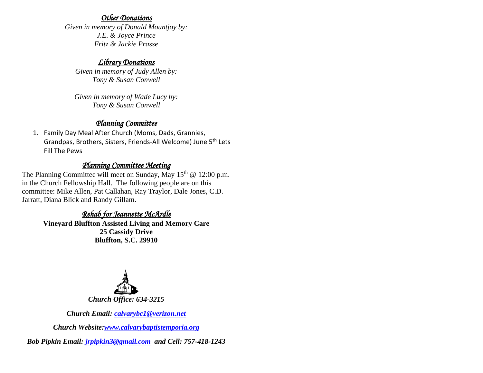### *Other Donations*

*Given in memory of Donald Mountjoy by: J.E. & Joyce Prince Fritz & Jackie Prasse*

## *Library Donations*

*Given in memory of Judy Allen by: Tony & Susan Conwell*

*Given in memory of Wade Lucy by: Tony & Susan Conwell*

## *Planning Committee*

1. Family Day Meal After Church (Moms, Dads, Grannies, Grandpas, Brothers, Sisters, Friends-All Welcome) June 5th Lets Fill The Pews

## *Planning Committee Meeting*

The Planning Committee will meet on Sunday, May  $15<sup>th</sup>$  @ 12:00 p.m. in the Church Fellowship Hall. The following people are on this committee: Mike Allen, Pat Callahan, Ray Traylor, Dale Jones, C.D. Jarratt, Diana Blick and Randy Gillam.

# *Rehab for Jeannette McArdle*

**Vineyard Bluffton Assisted Living and Memory Care 25 Cassidy Drive Bluffton, S.C. 29910**



*Church Email: [calvarybc1@verizon.net](mailto:cbcemporiaoffice@gmail.com)*

*Church Website[:www.calvarybaptistemporia.org](http://www.calvarybaptistemporia.org/)*

*Bob Pipkin Email: [jrpipkin3@gmail.com](mailto:jrpipkin3@gmail.com) and Cell: 757-418-1243*